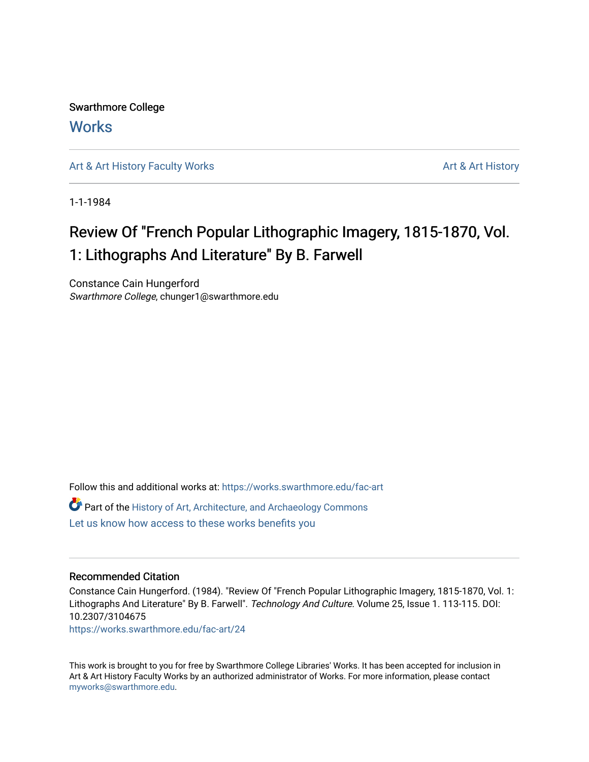Swarthmore College **Works** 

[Art & Art History Faculty Works](https://works.swarthmore.edu/fac-art) [Art & Art History](https://works.swarthmore.edu/art) Art & Art History

1-1-1984

## Review Of "French Popular Lithographic Imagery, 1815-1870, Vol. 1: Lithographs And Literature" By B. Farwell

Constance Cain Hungerford Swarthmore College, chunger1@swarthmore.edu

Follow this and additional works at: [https://works.swarthmore.edu/fac-art](https://works.swarthmore.edu/fac-art?utm_source=works.swarthmore.edu%2Ffac-art%2F24&utm_medium=PDF&utm_campaign=PDFCoverPages) 

Part of the [History of Art, Architecture, and Archaeology Commons](http://network.bepress.com/hgg/discipline/510?utm_source=works.swarthmore.edu%2Ffac-art%2F24&utm_medium=PDF&utm_campaign=PDFCoverPages)  [Let us know how access to these works benefits you](https://forms.gle/4MB8mE2GywC5965J8) 

## Recommended Citation

Constance Cain Hungerford. (1984). "Review Of "French Popular Lithographic Imagery, 1815-1870, Vol. 1: Lithographs And Literature" By B. Farwell". Technology And Culture. Volume 25, Issue 1. 113-115. DOI: 10.2307/3104675

<https://works.swarthmore.edu/fac-art/24>

This work is brought to you for free by Swarthmore College Libraries' Works. It has been accepted for inclusion in Art & Art History Faculty Works by an authorized administrator of Works. For more information, please contact [myworks@swarthmore.edu.](mailto:myworks@swarthmore.edu)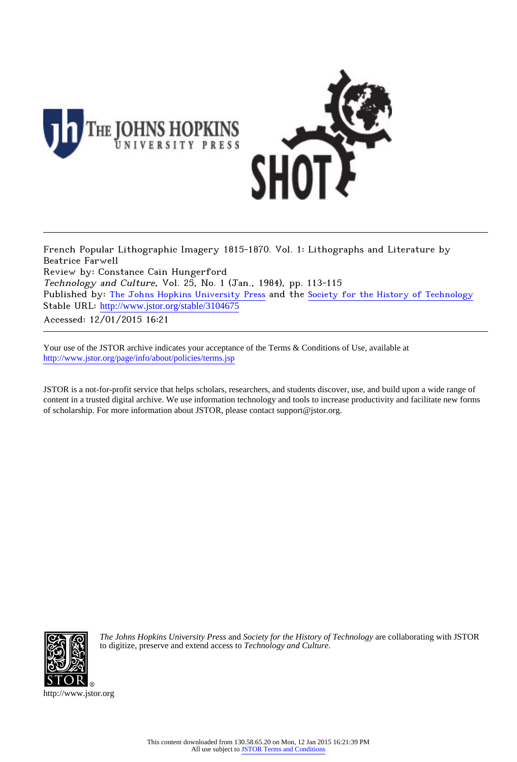

French Popular Lithographic Imagery 1815-1870. Vol. 1: Lithographs and Literature by Beatrice Farwell Review by: Constance Cain Hungerford Technology and Culture, Vol. 25, No. 1 (Jan., 1984), pp. 113-115 Published by: [The Johns Hopkins University Press](http://www.jstor.org/action/showPublisher?publisherCode=jhup) and the [Society for the History of Technology](http://www.jstor.org/action/showPublisher?publisherCode=shot) Stable URL: [http://www.jstor.org/stable/3104675](http://www.jstor.org/stable/3104675?origin=JSTOR-pdf) Accessed: 12/01/2015 16:21

Your use of the JSTOR archive indicates your acceptance of the Terms & Conditions of Use, available at <http://www.jstor.org/page/info/about/policies/terms.jsp>

JSTOR is a not-for-profit service that helps scholars, researchers, and students discover, use, and build upon a wide range of content in a trusted digital archive. We use information technology and tools to increase productivity and facilitate new forms of scholarship. For more information about JSTOR, please contact support@jstor.org.



*The Johns Hopkins University Press* and *Society for the History of Technology* are collaborating with JSTOR to digitize, preserve and extend access to *Technology and Culture.*

http://www.jstor.org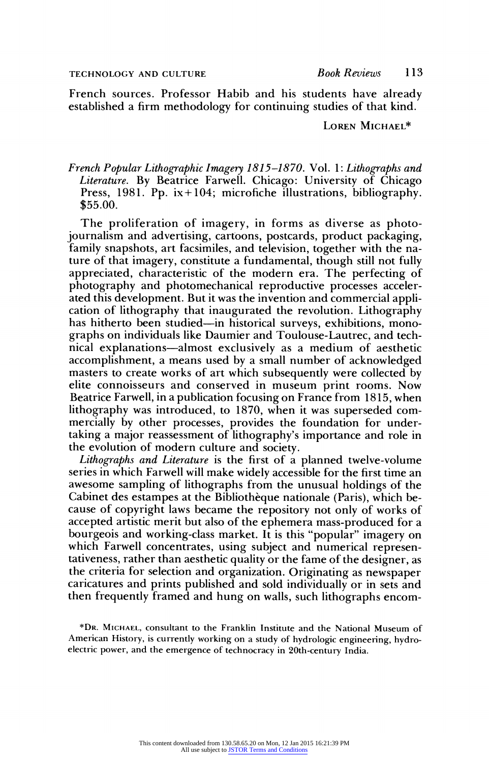**French sources. Professor Habib and his students have already established a firm methodology for continuing studies of that kind.** 

**LOREN MICHAEL\*** 

**French Popular Lithographic Imagery 1815-1870. Vol. 1: Lithographs and Literature. By Beatrice Farwell. Chicago: University of Chicago Press, 1981. Pp. ix+104; microfiche illustrations, bibliography. \$55.00.** 

**The proliferation of imagery, in forms as diverse as photojournalism and advertising, cartoons, postcards, product packaging, family snapshots, art facsimiles, and television, together with the nature of that imagery, constitute a fundamental, though still not fully appreciated, characteristic of the modern era. The perfecting of photography and photomechanical reproductive processes accelerated this development. But it was the invention and commercial application of lithography that inaugurated the revolution. Lithography**  has hitherto been studied—in historical surveys, exhibitions, mono**graphs on individuals like Daumier and Toulouse-Lautrec, and technical explanations-almost exclusively as a medium of aesthetic accomplishment, a means used by a small number of acknowledged masters to create works of art which subsequently were collected by elite connoisseurs and conserved in museum print rooms. Now Beatrice Farwell, in a publication focusing on France from 1815, when lithography was introduced, to 1870, when it was superseded commercially by other processes, provides the foundation for undertaking a major reassessment of lithography's importance and role in the evolution of modern culture and society.** 

**Lithographs and Literature is the first of a planned twelve-volume series in which Farwell will make widely accessible for the first time an awesome sampling of lithographs from the unusual holdings of the Cabinet des estampes at the Bibliotheque nationale (Paris), which because of copyright laws became the repository not only of works of accepted artistic merit but also of the ephemera mass-produced for a bourgeois and working-class market. It is this "popular" imagery on which Farwell concentrates, using subject and numerical representativeness, rather than aesthetic quality or the fame of the designer, as the criteria for selection and organization. Originating as newspaper caricatures and prints published and sold individually or in sets and then frequently framed and hung on walls, such lithographs encom-** 

**\*DR. MICHAEL, consultant to the Franklin Institute and the National Museum of American History, is currently working on a study of hydrologic engineering, hydroelectric power, and the emergence of technocracy in 20th-century India.**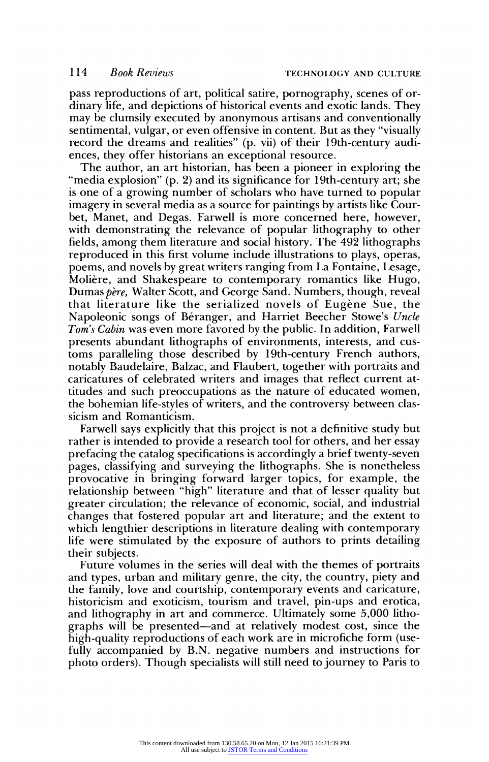**pass reproductions of art, political satire, pornography, scenes of ordinary life, and depictions of historical events and exotic lands. They may be clumsily executed by anonymous artisans and conventionally sentimental, vulgar, or even offensive in content. But as they "visually record the dreams and realities" (p. vii) of their 19th-century audiences, they offer historians an exceptional resource.** 

**The author, an art historian, has been a pioneer in exploring the "media explosion" (p. 2) and its significance for 19th-century art; she is one of a growing number of scholars who have turned to popular imagery in several media as a source for paintings by artists like Courbet, Manet, and Degas. Farwell is more concerned here, however, with demonstrating the relevance of popular lithography to other fields, among them literature and social history. The 492 lithographs reproduced in this first volume include illustrations to plays, operas, poems, and novels by great writers ranging from La Fontaine, Lesage, Moliere, and Shakespeare to contemporary romantics like Hugo,**  Dumas père, Walter Scott, and George Sand. Numbers, though, reveal **that literature like the serialized novels of Eugene Sue, the Napoleonic songs of Beranger, and Harriet Beecher Stowe's Uncle Tom's Cabin was even more favored by the public. In addition, Farwell presents abundant lithographs of environments, interests, and customs paralleling those described by 19th-century French authors, notably Baudelaire, Balzac, and Flaubert, together with portraits and caricatures of celebrated writers and images that reflect current attitudes and such preoccupations as the nature of educated women, the bohemian life-styles of writers, and the controversy between classicism and Romanticism.** 

**Farwell says explicitly that this project is not a definitive study but rather is intended to provide a research tool for others, and her essay prefacing the catalog specifications is accordingly a brief twenty-seven pages, classifying and surveying the lithographs. She is nonetheless provocative in bringing forward larger topics, for example, the relationship between "high" literature and that of lesser quality but greater circulation; the relevance of economic, social, and industrial changes that fostered popular art and literature; and the extent to which lengthier descriptions in literature dealing with contemporary life were stimulated by the exposure of authors to prints detailing their subjects.** 

**Future volumes in the series will deal with the themes of portraits and types, urban and military genre, the city, the country, piety and the family, love and courtship, contemporary events and caricature, historicism and exoticism, tourism and travel, pin-ups and erotica, and lithography in art and commerce. Ultimately some 5,000 lithographs will be presented-and at relatively modest cost, since the high-quality reproductions of each work are in microfiche form (usefully accompanied by B.N. negative numbers and instructions for photo orders). Though specialists will still need to journey to Paris to**